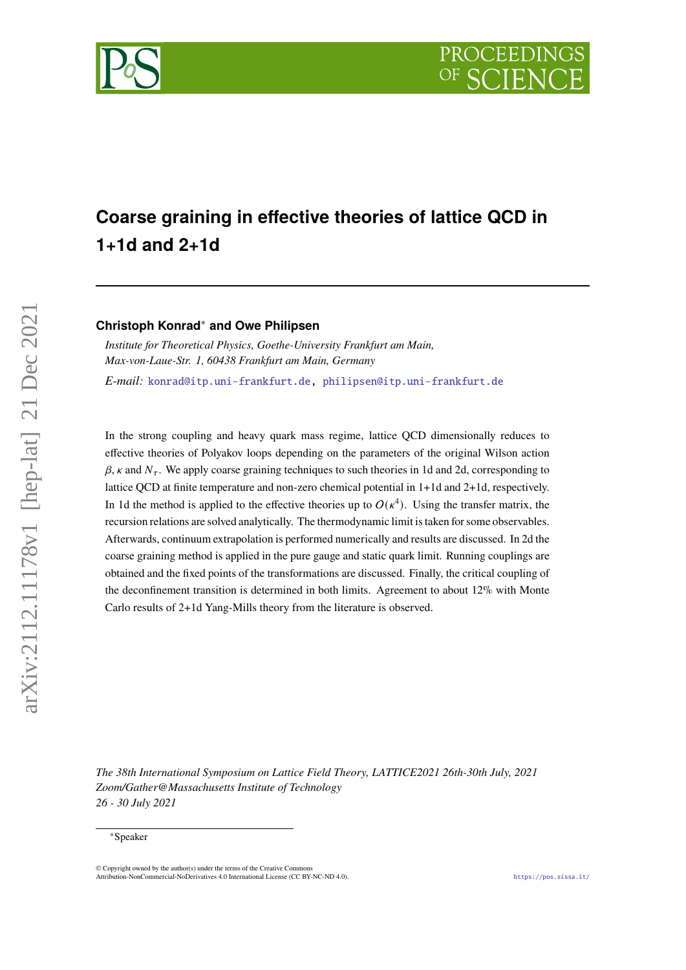# **Coarse graining in effective theories of lattice QCD in 1+1d and 2+1d**

## **Christoph Konrad**<sup>∗</sup> **and Owe Philipsen**

*Institute for Theoretical Physics, Goethe-University Frankfurt am Main, Max-von-Laue-Str. 1, 60438 Frankfurt am Main, Germany E-mail:* [konrad@itp.uni-frankfurt.de,](mailto:konrad@itp.uni-frankfurt.de) [philipsen@itp.uni-frankfurt.de](mailto:philipsen@itp.uni-frankfurt.de)

In the strong coupling and heavy quark mass regime, lattice QCD dimensionally reduces to effective theories of Polyakov loops depending on the parameters of the original Wilson action  $\beta$ ,  $\kappa$  and  $N_{\tau}$ . We apply coarse graining techniques to such theories in 1d and 2d, corresponding to lattice QCD at finite temperature and non-zero chemical potential in 1+1d and 2+1d, respectively. In 1d the method is applied to the effective theories up to  $O(\kappa^4)$ . Using the transfer matrix, the recursion relations are solved analytically. The thermodynamic limit is taken for some observables. Afterwards, continuum extrapolation is performed numerically and results are discussed. In 2d the coarse graining method is applied in the pure gauge and static quark limit. Running couplings are obtained and the fixed points of the transformations are discussed. Finally, the critical coupling of the deconfinement transition is determined in both limits. Agreement to about 12% with Monte Carlo results of 2+1d Yang-Mills theory from the literature is observed.

*The 38th International Symposium on Lattice Field Theory, LATTICE2021 26th-30th July, 2021 Zoom/Gather@Massachusetts Institute of Technology 26 - 30 July 2021*



<sup>∗</sup>Speaker

<sup>©</sup> Copyright owned by the author(s) under the terms of the Creative Commons Attribution-NonCommercial-NoDerivatives 4.0 International License (CC BY-NC-ND 4.0). <https://pos.sissa.it/>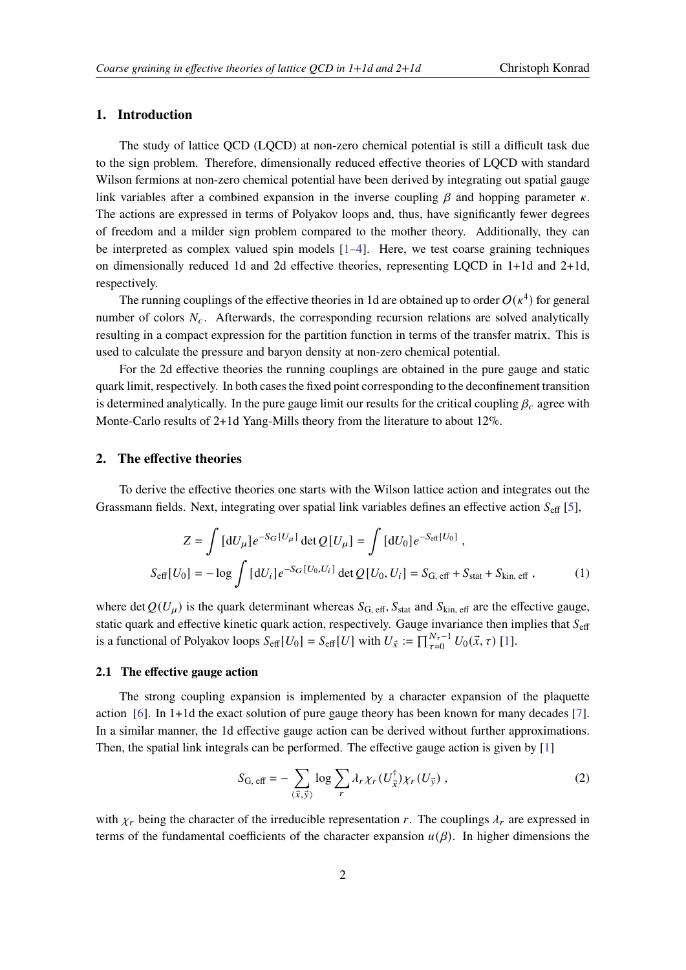### **1. Introduction**

The study of lattice QCD (LQCD) at non-zero chemical potential is still a difficult task due to the sign problem. Therefore, dimensionally reduced effective theories of LQCD with standard Wilson fermions at non-zero chemical potential have been derived by integrating out spatial gauge link variables after a combined expansion in the inverse coupling  $\beta$  and hopping parameter  $\kappa$ . The actions are expressed in terms of Polyakov loops and, thus, have significantly fewer degrees of freedom and a milder sign problem compared to the mother theory. Additionally, they can be interpreted as complex valued spin models [\[1–](#page-8-0)[4\]](#page-8-1). Here, we test coarse graining techniques on dimensionally reduced 1d and 2d effective theories, representing LQCD in 1+1d and 2+1d, respectively.

The running couplings of the effective theories in 1d are obtained up to order  $O(\kappa^4)$  for general number of colors  $N_c$ . Afterwards, the corresponding recursion relations are solved analytically resulting in a compact expression for the partition function in terms of the transfer matrix. This is used to calculate the pressure and baryon density at non-zero chemical potential.

For the 2d effective theories the running couplings are obtained in the pure gauge and static quark limit, respectively. In both cases the fixed point corresponding to the deconfinement transition is determined analytically. In the pure gauge limit our results for the critical coupling  $\beta_c$  agree with Monte-Carlo results of 2+1d Yang-Mills theory from the literature to about 12%.

#### **2. The effective theories**

To derive the effective theories one starts with the Wilson lattice action and integrates out the Grassmann fields. Next, integrating over spatial link variables defines an effective action  $S_{\text{eff}}$  [\[5\]](#page-9-0),

$$
Z = \int [dU_{\mu}] e^{-S_G[U_{\mu}]} \det Q[U_{\mu}] = \int [dU_0] e^{-S_{\text{eff}}[U_0]},
$$
  

$$
S_{\text{eff}}[U_0] = -\log \int [dU_i] e^{-S_G[U_0, U_i]} \det Q[U_0, U_i] = S_{G, \text{eff}} + S_{\text{stat}} + S_{\text{kin, eff}} ,
$$
 (1)

where det  $Q(U_\mu)$  is the quark determinant whereas  $S_{\text{G, eff}}, S_{\text{stat}}$  and  $S_{\text{kin, eff}}$  are the effective gauge, static quark and effective kinetic quark action, respectively. Gauge invariance then implies that  $S_{\text{eff}}$ is a functional of Polyakov loops  $S_{\text{eff}}[U_0] = S_{\text{eff}}[U]$  with  $U_{\vec{x}} := \prod_{\tau=0}^{N_{\tau}-1} U_0(\vec{x}, \tau)$  [\[1\]](#page-8-0).

### **2.1 The effective gauge action**

The strong coupling expansion is implemented by a character expansion of the plaquette action [\[6\]](#page-9-1). In 1+1d the exact solution of pure gauge theory has been known for many decades [\[7\]](#page-9-2). In a similar manner, the 1d effective gauge action can be derived without further approximations. Then, the spatial link integrals can be performed. The effective gauge action is given by [\[1\]](#page-8-0)

$$
S_{\text{G, eff}} = -\sum_{\langle \vec{x}, \vec{y} \rangle} \log \sum_{r} \lambda_r \chi_r(U_{\vec{x}}^{\dagger}) \chi_r(U_{\vec{y}}) , \qquad (2)
$$

with  $\chi_r$  being the character of the irreducible representation r. The couplings  $\lambda_r$  are expressed in terms of the fundamental coefficients of the character expansion  $u(\beta)$ . In higher dimensions the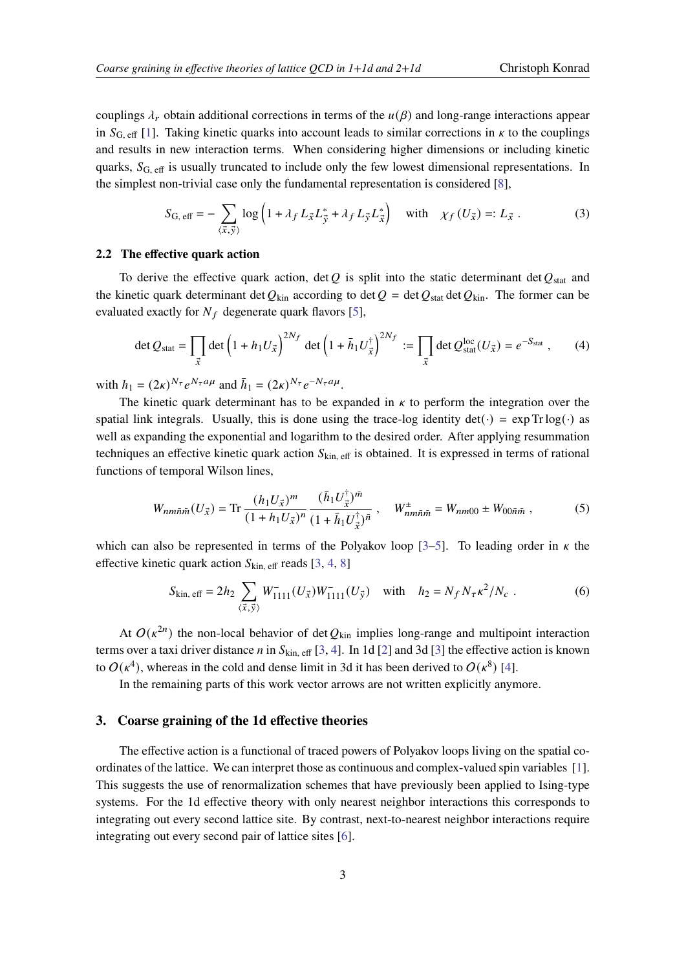couplings  $\lambda_r$  obtain additional corrections in terms of the  $u(\beta)$  and long-range interactions appear in  $S_{\text{G, eff}}$  [\[1\]](#page-8-0). Taking kinetic quarks into account leads to similar corrections in  $\kappa$  to the couplings and results in new interaction terms. When considering higher dimensions or including kinetic quarks,  $S_{\text{G, eff}}$  is usually truncated to include only the few lowest dimensional representations. In the simplest non-trivial case only the fundamental representation is considered [\[8\]](#page-9-3),

$$
S_{\text{G, eff}} = -\sum_{\langle \vec{x}, \vec{y} \rangle} \log \left( 1 + \lambda_f L_{\vec{x}} L_{\vec{y}}^* + \lambda_f L_{\vec{y}} L_{\vec{x}}^* \right) \quad \text{with} \quad \chi_f \left( U_{\vec{x}} \right) =: L_{\vec{x}} . \tag{3}
$$

#### **2.2 The effective quark action**

To derive the effective quark action, det Q is split into the static determinant det  $Q_{stat}$  and the kinetic quark determinant det  $Q_{\text{kin}}$  according to det  $Q = \text{det } Q_{\text{stat}}$  det  $Q_{\text{kin}}$ . The former can be evaluated exactly for  $N_f$  degenerate quark flavors [\[5\]](#page-9-0),

$$
\det Q_{\text{stat}} = \prod_{\vec{x}} \det \left( 1 + h_1 U_{\vec{x}} \right)^{2N_f} \det \left( 1 + \bar{h}_1 U_{\vec{x}}^{\dagger} \right)^{2N_f} := \prod_{\vec{x}} \det Q_{\text{stat}}^{\text{loc}}(U_{\vec{x}}) = e^{-S_{\text{stat}}}, \quad (4)
$$

with  $h_1 = (2\kappa)^{N_{\tau}} e^{N_{\tau} a \mu}$  and  $\bar{h}_1 = (2\kappa)^{N_{\tau}} e^{-N_{\tau} a \mu}$ .

The kinetic quark determinant has to be expanded in  $\kappa$  to perform the integration over the spatial link integrals. Usually, this is done using the trace-log identity  $det(\cdot) = exp Tr log(\cdot)$  as well as expanding the exponential and logarithm to the desired order. After applying resummation techniques an effective kinetic quark action  $S_{kin, eff}$  is obtained. It is expressed in terms of rational functions of temporal Wilson lines,

$$
W_{nm\bar{n}\bar{m}}(U_{\vec{x}}) = \text{Tr}\,\frac{(h_1 U_{\vec{x}})^m}{(1 + h_1 U_{\vec{x}})^n} \frac{(\bar{h}_1 U_{\vec{x}}^\dagger)^{\bar{m}}}{(1 + \bar{h}_1 U_{\vec{x}}^\dagger)^{\bar{n}}}, \quad W_{nm\bar{n}\bar{m}}^\pm = W_{nm00} \pm W_{00\bar{n}\bar{m}} \,,\tag{5}
$$

which can also be represented in terms of the Polyakov loop [\[3–](#page-8-2)[5\]](#page-9-0). To leading order in  $\kappa$  the effective kinetic quark action  $S_{kin, eff}$  reads [\[3,](#page-8-2) [4,](#page-8-1) [8\]](#page-9-3)

<span id="page-2-0"></span>
$$
S_{\text{kin, eff}} = 2h_2 \sum_{\langle \vec{x}, \vec{y} \rangle} W_{1111}^-(U_{\vec{x}}) W_{1111}^-(U_{\vec{y}}) \quad \text{with} \quad h_2 = N_f N_\tau \kappa^2 / N_c \ . \tag{6}
$$

At  $O(\kappa^{2n})$  the non-local behavior of det  $Q_{\text{kin}}$  implies long-range and multipoint interaction terms over a taxi driver distance *n* in  $S_{kin, eff}$  [\[3,](#page-8-2) [4\]](#page-8-1). In 1d [\[2\]](#page-8-3) and 3d [\[3\]](#page-8-2) the effective action is known to  $O(\kappa^4)$ , whereas in the cold and dense limit in 3d it has been derived to  $O(\kappa^8)$  [\[4\]](#page-8-1).

In the remaining parts of this work vector arrows are not written explicitly anymore.

## **3. Coarse graining of the 1d effective theories**

The effective action is a functional of traced powers of Polyakov loops living on the spatial coordinates of the lattice. We can interpret those as continuous and complex-valued spin variables [\[1\]](#page-8-0). This suggests the use of renormalization schemes that have previously been applied to Ising-type systems. For the 1d effective theory with only nearest neighbor interactions this corresponds to integrating out every second lattice site. By contrast, next-to-nearest neighbor interactions require integrating out every second pair of lattice sites [\[6\]](#page-9-1).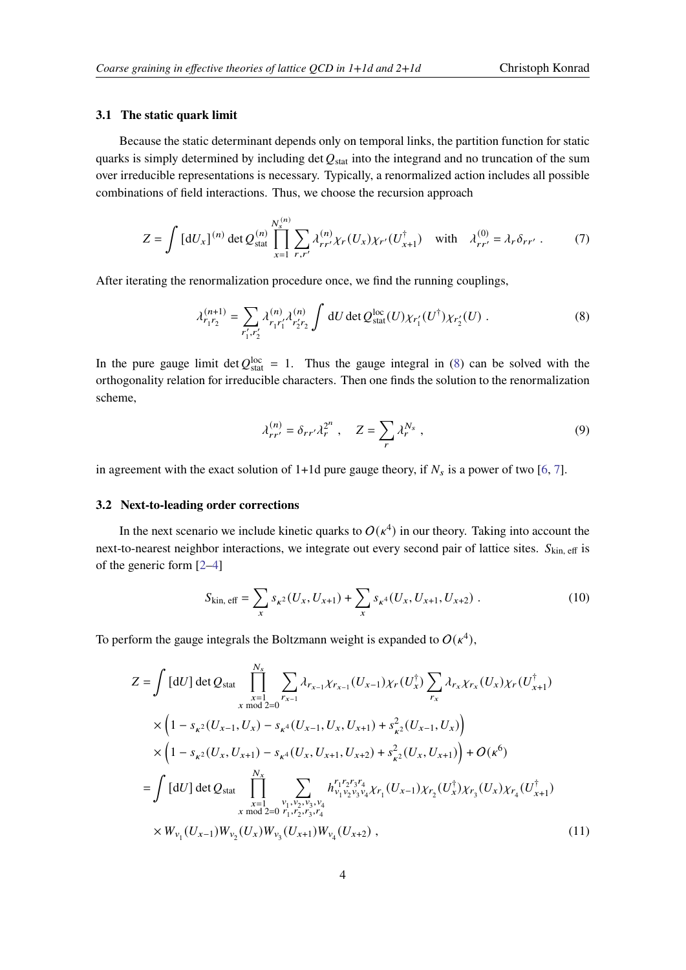#### **3.1 The static quark limit**

Because the static determinant depends only on temporal links, the partition function for static quarks is simply determined by including det  $Q_{stat}$  into the integrand and no truncation of the sum over irreducible representations is necessary. Typically, a renormalized action includes all possible combinations of field interactions. Thus, we choose the recursion approach

$$
Z = \int [dU_x]^{(n)} \det Q_{\text{stat}}^{(n)} \prod_{x=1}^{N_s^{(n)}} \sum_{r,r'} \lambda_{rr'}^{(n)} \chi_r(U_x) \chi_{r'}(U_{x+1}^{\dagger}) \text{ with } \lambda_{rr'}^{(0)} = \lambda_r \delta_{rr'} . \tag{7}
$$

After iterating the renormalization procedure once, we find the running couplings,

$$
\lambda_{r_1 r_2}^{(n+1)} = \sum_{r_1', r_2'} \lambda_{r_1 r_1'}^{(n)} \lambda_{r_2' r_2}^{(n)} \int dU \det Q_{\text{stat}}^{\text{loc}}(U) \chi_{r_1'}(U^{\dagger}) \chi_{r_2'}(U) . \tag{8}
$$

In the pure gauge limit det  $Q_{stat}^{loc} = 1$ . Thus the gauge integral in [\(8\)](#page-3-0) can be solved with the orthogonality relation for irreducible characters. Then one finds the solution to the renormalization scheme,

<span id="page-3-0"></span>
$$
\lambda_{rr'}^{(n)} = \delta_{rr'} \lambda_r^{2^n} , \quad Z = \sum_r \lambda_r^{N_s} , \qquad (9)
$$

in agreement with the exact solution of 1+1d pure gauge theory, if  $N_s$  is a power of two [\[6,](#page-9-1) [7\]](#page-9-2).

#### **3.2 Next-to-leading order corrections**

In the next scenario we include kinetic quarks to  $O(\kappa^4)$  in our theory. Taking into account the next-to-nearest neighbor interactions, we integrate out every second pair of lattice sites.  $S_{kin, eff}$  is of the generic form [\[2](#page-8-3)[–4\]](#page-8-1)

$$
S_{\text{kin, eff}} = \sum_{x} s_{\kappa^2} (U_x, U_{x+1}) + \sum_{x} s_{\kappa^4} (U_x, U_{x+1}, U_{x+2}) \tag{10}
$$

To perform the gauge integrals the Boltzmann weight is expanded to  $O(\kappa^4)$ ,

$$
Z = \int [dU] \det Q_{stat} \prod_{\substack{x=1 \ x \text{ mod } 2=0}}^{N_s} \sum_{r_{x-1}} \lambda_{r_{x-1}} \chi_{r_{x-1}} (U_{x-1}) \chi_r (U_x^{\dagger}) \sum_{r_x} \lambda_{r_x} \chi_{r_x} (U_x) \chi_r (U_{x+1}^{\dagger})
$$
  
\n
$$
\times \left(1 - s_{\kappa^2} (U_{x-1}, U_x) - s_{\kappa^4} (U_{x-1}, U_x, U_{x+1}) + s_{\kappa^2}^2 (U_{x-1}, U_x) \right)
$$
  
\n
$$
\times \left(1 - s_{\kappa^2} (U_x, U_{x+1}) - s_{\kappa^4} (U_x, U_{x+1}, U_{x+2}) + s_{\kappa^2}^2 (U_x, U_{x+1})\right) + O(\kappa^6)
$$
  
\n
$$
= \int [dU] \det Q_{stat} \prod_{\substack{x=1 \ x \text{ mod } 2=0}}^{N_x} \sum_{\substack{r_1, v_2, v_3, v_4 \\ r_1, r_2, r_3, r_4}} h_{r_1}^{r_1 r_2 r_3 r_4} \chi_{r_1} (U_{x-1}) \chi_{r_2} (U_x^{\dagger}) \chi_{r_3} (U_x) \chi_{r_4} (U_{x+1}^{\dagger})
$$
  
\n
$$
\times W_{v_1} (U_{x-1}) W_{v_2} (U_x) W_{v_3} (U_{x+1}) W_{v_4} (U_{x+2}), \qquad (11)
$$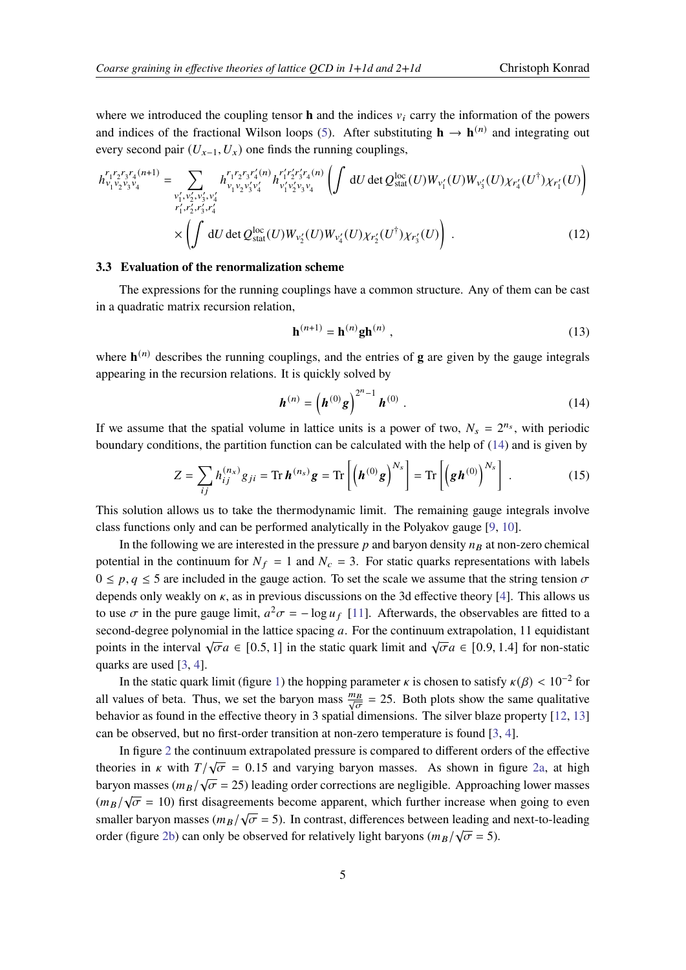where we introduced the coupling tensor **h** and the indices  $v_i$  carry the information of the powers and indices of the fractional Wilson loops [\(5\)](#page-2-0). After substituting  $h \to h^{(n)}$  and integrating out every second pair  $(U_{x-1}, U_x)$  one finds the running couplings,

$$
h_{\nu_1 \nu_2 \nu_3 \nu_4}^{r_1 r_2 r_3 r_4(n+1)} = \sum_{\substack{\nu_1', \nu_2', \nu_3', \nu_4' \\ r_1', r_2', r_3', r_4'}} h_{\nu_1 \nu_2 \nu_3' \nu_4'}^{r_1 r_2 r_3 r_4'(n)} h_{\nu_1' \nu_2' \nu_3 \nu_4}^{r_1' r_2' r_3' r_4'(n)} \left( \int dU \det Q_{\text{stat}}^{\text{loc}}(U) W_{\nu_1'}(U) W_{\nu_3'}(U) \chi_{r_4'}(U^{\dagger}) \chi_{r_1'}(U) \right) \right)
$$
  
 
$$
\times \left( \int dU \det Q_{\text{stat}}^{\text{loc}}(U) W_{\nu_2'}(U) W_{\nu_4'}(U) \chi_{r_2'}(U^{\dagger}) \chi_{r_3'}(U) \right) . \tag{12}
$$

#### **3.3 Evaluation of the renormalization scheme**

The expressions for the running couplings have a common structure. Any of them can be cast in a quadratic matrix recursion relation,

<span id="page-4-0"></span>
$$
\mathbf{h}^{(n+1)} = \mathbf{h}^{(n)} \mathbf{g} \mathbf{h}^{(n)} \tag{13}
$$

where  $\mathbf{h}^{(n)}$  describes the running couplings, and the entries of **g** are given by the gauge integrals appearing in the recursion relations. It is quickly solved by

$$
\boldsymbol{h}^{(n)} = \left(\boldsymbol{h}^{(0)}\boldsymbol{g}\right)^{2^{n}-1}\boldsymbol{h}^{(0)}\ .
$$
 (14)

If we assume that the spatial volume in lattice units is a power of two,  $N_s = 2^{n_s}$ , with periodic boundary conditions, the partition function can be calculated with the help of [\(14\)](#page-4-0) and is given by

$$
Z = \sum_{ij} h_{ij}^{(n_x)} g_{ji} = \text{Tr}\,\boldsymbol{h}^{(n_s)}\boldsymbol{g} = \text{Tr}\left[\left(\boldsymbol{h}^{(0)}\boldsymbol{g}\right)^{N_s}\right] = \text{Tr}\left[\left(\boldsymbol{g}\boldsymbol{h}^{(0)}\right)^{N_s}\right].
$$
 (15)

This solution allows us to take the thermodynamic limit. The remaining gauge integrals involve class functions only and can be performed analytically in the Polyakov gauge [\[9,](#page-9-4) [10\]](#page-9-5).

In the following we are interested in the pressure  $p$  and baryon density  $n<sub>B</sub>$  at non-zero chemical potential in the continuum for  $N_f = 1$  and  $N_c = 3$ . For static quarks representations with labels  $0 \le p, q \le 5$  are included in the gauge action. To set the scale we assume that the string tension  $\sigma$ depends only weakly on  $\kappa$ , as in previous discussions on the 3d effective theory [\[4\]](#page-8-1). This allows us to use  $\sigma$  in the pure gauge limit,  $a^2\sigma = -\log u_f$  [\[11\]](#page-9-6). Afterwards, the observables are fitted to a second-degree polynomial in the lattice spacing  $a$ . For the continuum extrapolation, 11 equidistant points in the interval  $\sqrt{\sigma}a \in [0.5, 1]$  in the static quark limit and  $\sqrt{\sigma}a \in [0.9, 1.4]$  for non-static quarks are used [\[3,](#page-8-2) [4\]](#page-8-1).

In the static quark limit (figure [1\)](#page-5-0) the hopping parameter  $\kappa$  is chosen to satisfy  $\kappa(\beta) < 10^{-2}$  for all values of beta. Thus, we set the baryon mass  $\frac{mg}{\sqrt{g}}$  $\frac{\partial B}{\partial \sigma}$  = 25. Both plots show the same qualitative behavior as found in the effective theory in 3 spatial dimensions. The silver blaze property [\[12,](#page-9-7) [13\]](#page-9-8) can be observed, but no first-order transition at non-zero temperature is found [\[3,](#page-8-2) [4\]](#page-8-1).

In figure [2](#page-6-0) the continuum extrapolated pressure is compared to different orders of the effective theories in *k* with  $T/\sqrt{\sigma} = 0.15$  and varying baryon masses. As shown in figure [2a,](#page-6-0) at high baryon masses ( $m_B/\sqrt{\sigma} = 25$ ) leading order corrections are negligible. Approaching lower masses  $(m_B/\sqrt{\sigma} = 10)$  first disagreements become apparent, which further increase when going to even<br> $(m_B/\sqrt{\sigma} = 10)$  first disagreements become apparent, which further increase when going to even smaller baryon masses ( $m_B/\sqrt{\sigma} = 5$ ). In contrast, differences between leading and next-to-leading order (figure [2b\)](#page-6-0) can only be observed for relatively light baryons ( $m_B/\sqrt{\sigma} = 5$ ).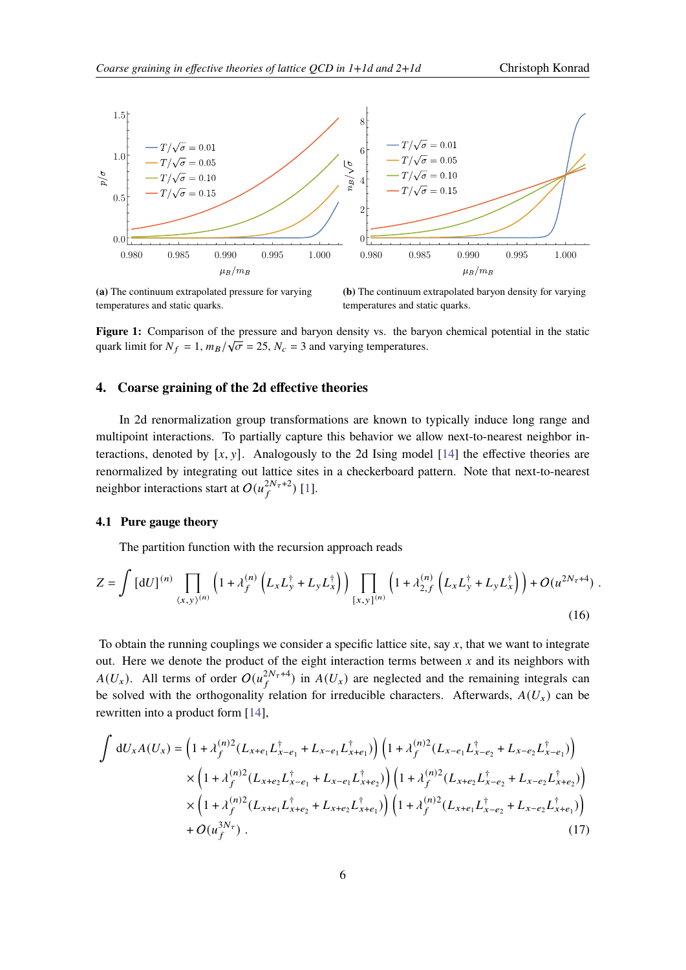<span id="page-5-0"></span>

**(a)** The continuum extrapolated pressure for varying temperatures and static quarks.

**(b)** The continuum extrapolated baryon density for varying temperatures and static quarks.

**Figure 1:** Comparison of the pressure and baryon density vs. the baryon chemical potential in the static  $\overline{A}$ quark limit for  $N_f = 1$ ,  $m_B/\sqrt{\sigma} = 25$ ,  $N_c = 3$  and varying temperatures.

## **4. Coarse graining of the 2d effective theories**

In 2d renormalization group transformations are known to typically induce long range and multipoint interactions. To partially capture this behavior we allow next-to-nearest neighbor interactions, denoted by  $[x, y]$ . Analogously to the 2d Ising model [\[14\]](#page-9-9) the effective theories are renormalized by integrating out lattice sites in a checkerboard pattern. Note that next-to-nearest neighbor interactions start at  $O(u_f^{2N_\tau+2})$  [\[1\]](#page-8-0).

## **4.1 Pure gauge theory**

The partition function with the recursion approach reads

$$
Z = \int \left[ dU \right]^{(n)} \prod_{\langle x, y \rangle^{(n)}} \left( 1 + \lambda_f^{(n)} \left( L_x L_y^{\dagger} + L_y L_x^{\dagger} \right) \right) \prod_{[x, y]^{(n)}} \left( 1 + \lambda_{2, f}^{(n)} \left( L_x L_y^{\dagger} + L_y L_x^{\dagger} \right) \right) + O(u^{2N_\tau + 4}) \tag{16}
$$

To obtain the running couplings we consider a specific lattice site, say  $x$ , that we want to integrate out. Here we denote the product of the eight interaction terms between  $x$  and its neighbors with  $A(U_x)$ . All terms of order  $O(u_f^{2N_\tau+4})$  in  $A(U_x)$  are neglected and the remaining integrals can be solved with the orthogonality relation for irreducible characters. Afterwards,  $A(U_x)$  can be rewritten into a product form [\[14\]](#page-9-9),

$$
\int dU_x A(U_x) = \left(1 + \lambda_f^{(n)2} (L_{x+e_1} L_{x-e_1}^{\dagger} + L_{x-e_1} L_{x+e_1}^{\dagger})\right) \left(1 + \lambda_f^{(n)2} (L_{x-e_1} L_{x-e_2}^{\dagger} + L_{x-e_2} L_{x-e_1}^{\dagger})\right) \times \left(1 + \lambda_f^{(n)2} (L_{x+e_2} L_{x-e_1}^{\dagger} + L_{x-e_1} L_{x+e_2}^{\dagger})\right) \left(1 + \lambda_f^{(n)2} (L_{x+e_2} L_{x-e_2}^{\dagger} + L_{x-e_2} L_{x+e_2}^{\dagger})\right) \times \left(1 + \lambda_f^{(n)2} (L_{x+e_1} L_{x+e_2}^{\dagger} + L_{x+e_2} L_{x+e_1}^{\dagger})\right) \left(1 + \lambda_f^{(n)2} (L_{x+e_1} L_{x-e_2}^{\dagger} + L_{x-e_2} L_{x+e_1}^{\dagger})\right) \n+ O(u_f^{3N_\tau}). \tag{17}
$$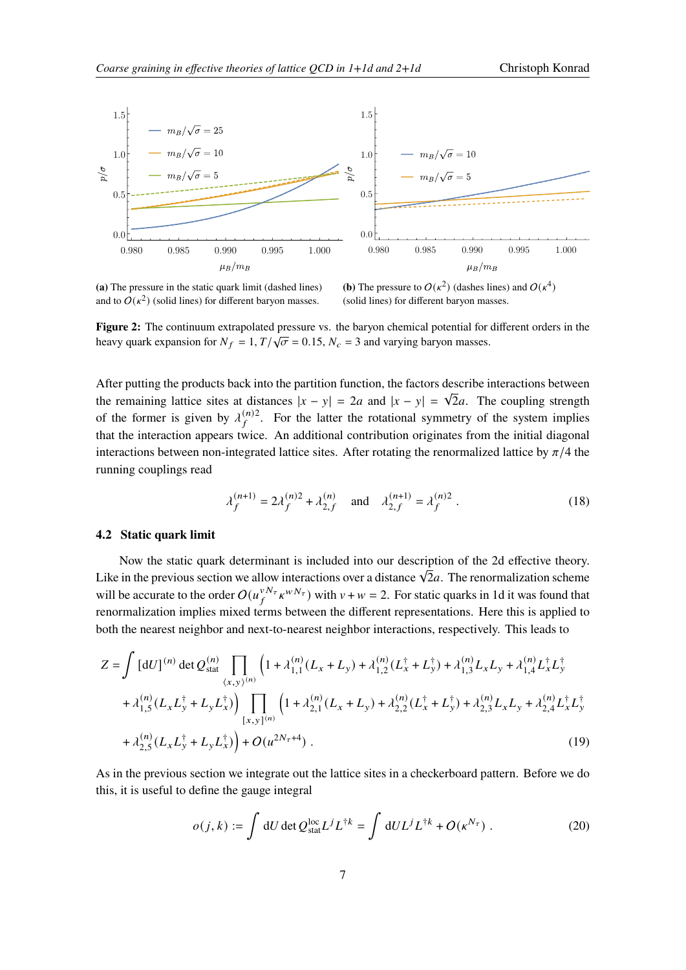<span id="page-6-0"></span>

**(a)** The pressure in the static quark limit (dashed lines) and to  $O(\kappa^2)$  (solid lines) for different baryon masses.

**(b)** The pressure to  $O(\kappa^2)$  (dashes lines) and  $O(\kappa^4)$ (solid lines) for different baryon masses.

**Figure 2:** The continuum extrapolated pressure vs. the baryon chemical potential for different orders in the heavy quark expansion for  $N_f = 1, T/\sqrt{\sigma} = 0.15, N_c = 3$  and varying baryon masses.

After putting the products back into the partition function, the factors describe interactions between the remaining lattice sites at distances  $|x - y| = 2a$  and  $|x - y| = \sqrt{2}a$ . The coupling strength of the former is given by  $\lambda_f^{(n)2}$ . For the latter the rotational symmetry of the system implies that the interaction appears twice. An additional contribution originates from the initial diagonal interactions between non-integrated lattice sites. After rotating the renormalized lattice by  $\pi/4$  the running couplings read

$$
\lambda_f^{(n+1)} = 2\lambda_f^{(n)2} + \lambda_{2,f}^{(n)} \quad \text{and} \quad \lambda_{2,f}^{(n+1)} = \lambda_f^{(n)2} . \tag{18}
$$

#### **4.2 Static quark limit**

Now the static quark determinant is included into our description of the 2d effective theory. The previous section we allow interactions over a distance  $\sqrt{2}a$ . The renormalization scheme will be accurate to the order  $O(u_f^{vN_\tau} \kappa^{wN_\tau})$  with  $v + w = 2$ . For static quarks in 1d it was found that renormalization implies mixed terms between the different representations. Here this is applied to both the nearest neighbor and next-to-nearest neighbor interactions, respectively. This leads to

$$
Z = \int [dU]^{(n)} \det Q_{stat}^{(n)} \prod_{\langle x, y \rangle^{(n)}} \left( 1 + \lambda_{1,1}^{(n)} (L_x + L_y) + \lambda_{1,2}^{(n)} (L_x^{\dagger} + L_y^{\dagger}) + \lambda_{1,3}^{(n)} L_x L_y + \lambda_{1,4}^{(n)} L_x^{\dagger} L_y^{\dagger} + \lambda_{1,5}^{(n)} (L_x L_y^{\dagger} + L_y L_x^{\dagger}) \right) \prod_{[x,y]} \left( 1 + \lambda_{2,1}^{(n)} (L_x + L_y) + \lambda_{2,2}^{(n)} (L_x^{\dagger} + L_y^{\dagger}) + \lambda_{2,3}^{(n)} L_x L_y + \lambda_{2,4}^{(n)} L_x^{\dagger} L_y^{\dagger} + \lambda_{2,5}^{(n)} (L_x L_y^{\dagger} + L_y L_x^{\dagger}) \right) + O(u^{2N_{\tau}+4}).
$$
\n(19)

As in the previous section we integrate out the lattice sites in a checkerboard pattern. Before we do this, it is useful to define the gauge integral

$$
o(j,k) := \int dU \det Q_{\text{stat}}^{\text{loc}} L^{j} L^{\dagger k} = \int dU L^{j} L^{\dagger k} + O(\kappa^{N_{\tau}}) \tag{20}
$$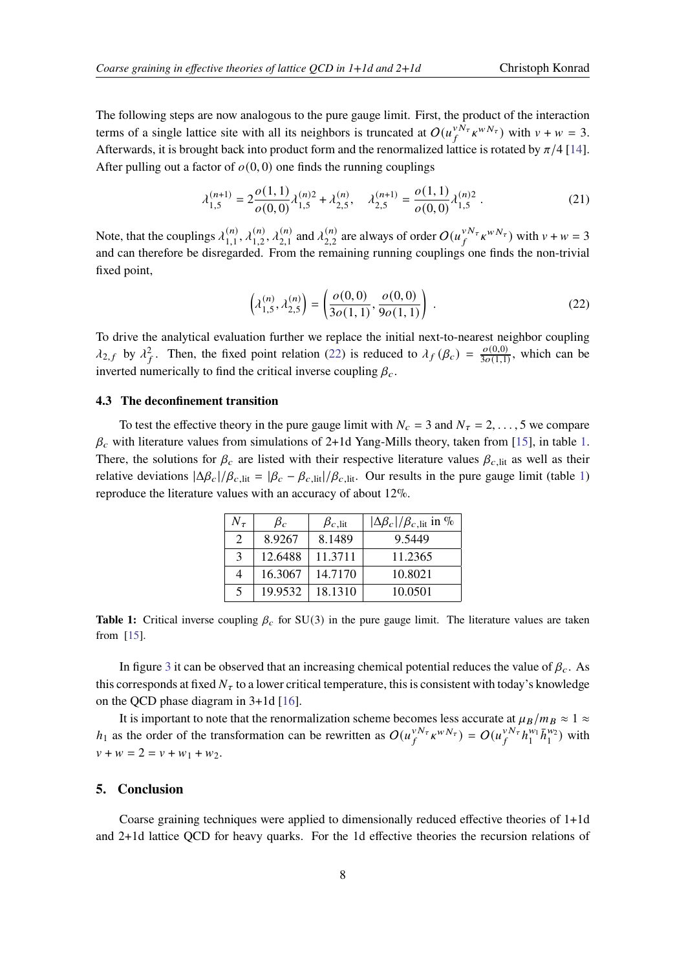The following steps are now analogous to the pure gauge limit. First, the product of the interaction terms of a single lattice site with all its neighbors is truncated at  $O(u_f^{v\bar{N}_{\tau}} \kappa^{wN_{\tau}})$  with  $v + w = 3$ . Afterwards, it is brought back into product form and the renormalized lattice is rotated by  $\pi/4$  [\[14\]](#page-9-9). After pulling out a factor of  $o(0, 0)$  one finds the running couplings

$$
\lambda_{1,5}^{(n+1)} = 2 \frac{o(1,1)}{o(0,0)} \lambda_{1,5}^{(n)2} + \lambda_{2,5}^{(n)}, \quad \lambda_{2,5}^{(n+1)} = \frac{o(1,1)}{o(0,0)} \lambda_{1,5}^{(n)2} \,. \tag{21}
$$

Note, that the couplings  $\lambda_{1,1}^{(n)}$  $\lambda_{1,1}^{(n)}, \lambda_{1,2}^{(n)}$  $\lambda_{1,2}^{(n)}, \lambda_{2,1}^{(n)}$  $\chi_{2,1}^{(n)}$  and  $\lambda_{2,2}^{(n)}$  $_{2,2}^{(n)}$  are always of order  $O(u_f^{vN_\tau} \kappa^{wN_\tau})$  with  $v + w = 3$ and can therefore be disregarded. From the remaining running couplings one finds the non-trivial fixed point,

<span id="page-7-0"></span>
$$
\left(\lambda_{1,5}^{(n)}, \lambda_{2,5}^{(n)}\right) = \left(\frac{o(0,0)}{3o(1,1)}, \frac{o(0,0)}{9o(1,1)}\right) .
$$
\n(22)

To drive the analytical evaluation further we replace the initial next-to-nearest neighbor coupling  $\lambda_{2,f}$  by  $\lambda_f^2$ . Then, the fixed point relation [\(22\)](#page-7-0) is reduced to  $\lambda_f(\beta_c) = \frac{o(0,0)}{3o(1,1)}$  $\frac{\partial (0,0)}{\partial \rho(1,1)}$ , which can be inverted numerically to find the critical inverse coupling  $\beta_c$ .

### **4.3 The deconfinement transition**

<span id="page-7-1"></span>To test the effective theory in the pure gauge limit with  $N_c = 3$  and  $N_{\tau} = 2, \ldots, 5$  we compare  $\beta_c$  with literature values from simulations of 2+1d Yang-Mills theory, taken from [\[15\]](#page-9-10), in table [1.](#page-7-1) There, the solutions for  $\beta_c$  are listed with their respective literature values  $\beta_c$  lit as well as their relative deviations  $|\Delta \beta_c|/\beta_c$ , lit =  $|\beta_c - \beta_c|$ , lit. Our results in the pure gauge limit (table [1\)](#page-7-1) reproduce the literature values with an accuracy of about 12%.

| $N_\tau$      | $\beta_c$ | $\beta_{c, \text{lit}}$ | $ \Delta \beta_c /\beta_c$ , lit in % |
|---------------|-----------|-------------------------|---------------------------------------|
| $\mathcal{L}$ | 8.9267    | 8.1489                  | 9.5449                                |
| $\mathcal{E}$ | 12.6488   | 11.3711                 | 11.2365                               |
|               | 16.3067   | 14.7170                 | 10.8021                               |
| .5            | 19.9532   | 18.1310                 | 10.0501                               |

**Table 1:** Critical inverse coupling  $\beta_c$  for SU(3) in the pure gauge limit. The literature values are taken from [\[15\]](#page-9-10).

In figure [3](#page-8-4) it can be observed that an increasing chemical potential reduces the value of  $\beta_c$ . As this corresponds at fixed  $N_{\tau}$  to a lower critical temperature, this is consistent with today's knowledge on the QCD phase diagram in 3+1d [\[16\]](#page-9-11).

It is important to note that the renormalization scheme becomes less accurate at  $\mu_B/m_B \approx 1 \approx$  $h_1$  as the order of the transformation can be rewritten as  $O(u_f^{vN_\tau} \kappa^{wN_\tau}) = O(u_f^{vN_\tau} h_1^{w_1})$  $\frac{w_1}{1} \bar{h}_1^{w_2}$ ) with  $v + w = 2 = v + w_1 + w_2.$ 

## **5. Conclusion**

Coarse graining techniques were applied to dimensionally reduced effective theories of 1+1d and 2+1d lattice QCD for heavy quarks. For the 1d effective theories the recursion relations of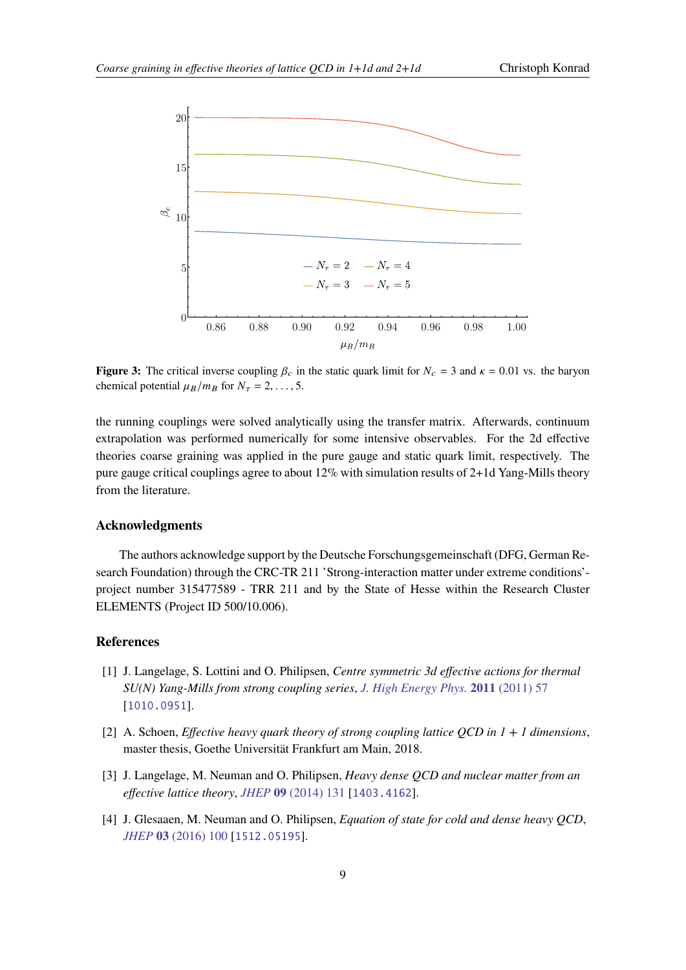<span id="page-8-4"></span>

**Figure 3:** The critical inverse coupling  $\beta_c$  in the static quark limit for  $N_c = 3$  and  $\kappa = 0.01$  vs. the baryon chemical potential  $\mu_B / m_B$  for  $N_\tau = 2, \ldots, 5$ .

the running couplings were solved analytically using the transfer matrix. Afterwards, continuum extrapolation was performed numerically for some intensive observables. For the 2d effective theories coarse graining was applied in the pure gauge and static quark limit, respectively. The pure gauge critical couplings agree to about 12% with simulation results of 2+1d Yang-Mills theory from the literature.

### **Acknowledgments**

The authors acknowledge support by the Deutsche Forschungsgemeinschaft (DFG, German Research Foundation) through the CRC-TR 211 'Strong-interaction matter under extreme conditions' project number 315477589 - TRR 211 and by the State of Hesse within the Research Cluster ELEMENTS (Project ID 500/10.006).

## **References**

- <span id="page-8-0"></span>[1] J. Langelage, S. Lottini and O. Philipsen, *Centre symmetric 3d effective actions for thermal SU(N) Yang-Mills from strong coupling series*, *[J. High Energy Phys.](https://doi.org/10.1007/JHEP02(2011)057)* **2011** (2011) 57 [[1010.0951](https://arxiv.org/abs/1010.0951)].
- <span id="page-8-3"></span>[2] A. Schoen, *Effective heavy quark theory of strong coupling lattice QCD in 1 + 1 dimensions*, master thesis, Goethe Universität Frankfurt am Main, 2018.
- <span id="page-8-2"></span>[3] J. Langelage, M. Neuman and O. Philipsen, *Heavy dense QCD and nuclear matter from an effective lattice theory*, *JHEP* **09** [\(2014\) 131](https://doi.org/10.1007/JHEP09(2014)131) [[1403.4162](https://arxiv.org/abs/1403.4162)].
- <span id="page-8-1"></span>[4] J. Glesaaen, M. Neuman and O. Philipsen, *Equation of state for cold and dense heavy QCD*, *JHEP* **03** [\(2016\) 100](https://doi.org/10.1007/JHEP03(2016)100) [[1512.05195](https://arxiv.org/abs/1512.05195)].